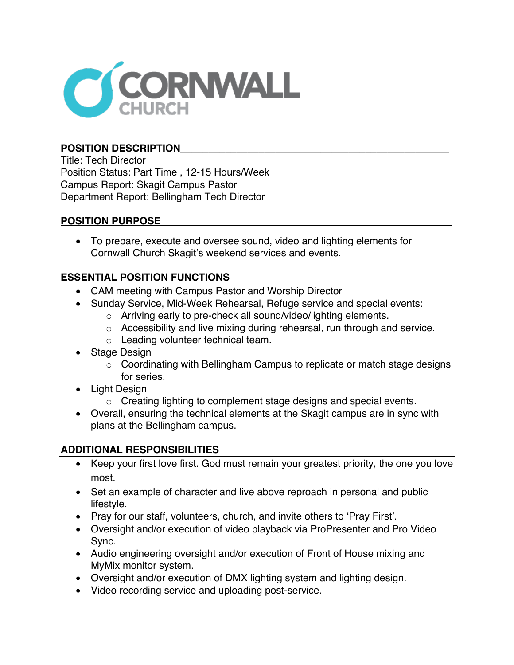

## **POSITION DESCRIPTION\_\_\_\_\_\_\_\_\_\_\_\_\_\_\_\_\_\_\_\_\_\_\_\_\_\_\_\_\_\_\_\_\_\_\_\_\_\_\_\_\_\_\_\_\_\_\_\_**

Title: Tech Director Position Status: Part Time , 12-15 Hours/Week Campus Report: Skagit Campus Pastor Department Report: Bellingham Tech Director

## **POSITION PURPOSE\_\_\_\_\_\_\_\_\_\_\_\_\_\_\_\_\_\_\_\_\_\_\_\_\_\_\_\_\_\_\_\_\_\_\_\_\_\_\_\_\_\_\_\_\_\_\_\_\_\_\_\_**

• To prepare, execute and oversee sound, video and lighting elements for Cornwall Church Skagit's weekend services and events.

## **ESSENTIAL POSITION FUNCTIONS**

- CAM meeting with Campus Pastor and Worship Director
- Sunday Service, Mid-Week Rehearsal, Refuge service and special events:
	- o Arriving early to pre-check all sound/video/lighting elements.
	- o Accessibility and live mixing during rehearsal, run through and service.
	- o Leading volunteer technical team.
- Stage Design
	- o Coordinating with Bellingham Campus to replicate or match stage designs for series.
- Light Design
	- o Creating lighting to complement stage designs and special events.
- Overall, ensuring the technical elements at the Skagit campus are in sync with plans at the Bellingham campus.

## **ADDITIONAL RESPONSIBILITIES**

- Keep your first love first. God must remain your greatest priority, the one you love most.
- Set an example of character and live above reproach in personal and public lifestyle.
- Pray for our staff, volunteers, church, and invite others to 'Pray First'.
- Oversight and/or execution of video playback via ProPresenter and Pro Video Sync.
- Audio engineering oversight and/or execution of Front of House mixing and MyMix monitor system.
- Oversight and/or execution of DMX lighting system and lighting design.
- Video recording service and uploading post-service.